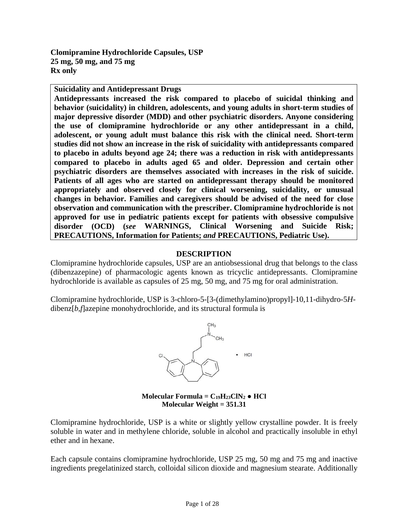<span id="page-0-0"></span>**Clomipramine Hydrochloride Capsules, USP 25 mg, 50 mg, and 75 mg Rx only** 

**Suicidality and Antidepressant Drugs**

**Antidepressants increased the risk compared to placebo of suicidal thinking and behavior (suicidality) in children, adolescents, and young adults in short-term studies of major depressive disorder (MDD) and other psychiatric disorders. Anyone considering the use of clomipramine hydrochloride or any other antidepressant in a child, adolescent, or young adult must balance this risk with the clinical need. Short-term studies did not show an increase in the risk of suicidality with antidepressants compared to placebo in adults beyond age 24; there was a reduction in risk with antidepressants compared to placebo in adults aged 65 and older. Depression and certain other psychiatric disorders are themselves associated with increases in the risk of suicide. Patients of all ages who are started on antidepressant therapy should be monitored appropriately and observed closely for clinical worsening, suicidality, or unusual changes in behavior. Families and caregivers should be advised of the need for close observation and communication with the prescriber. Clomipramine hydrochloride is not approved for use in pediatric patients except for patients with obsessive compulsive disorder (OCD) (***see* **[WARNINGS, Clinical Worsening and Suicide Risk;](#page-3-0) [PRECAUTIONS, Information for Patients;](#page-9-0)** *and* **[PRECAUTIONS, Pediatric Use\)](#page-12-0).**

### **DESCRIPTION**

Clomipramine hydrochloride capsules, USP are an antiobsessional drug that belongs to the class (dibenzazepine) of pharmacologic agents known as tricyclic antidepressants. Clomipramine hydrochloride is available as capsules of 25 mg, 50 mg, and 75 mg for oral administration.

Clomipramine hydrochloride, USP is 3-chloro-5-[3-(dimethylamino)propyl]-10,11-dihydro-5*H*dibenz[*b*,*f*]azepine monohydrochloride, and its structural formula is



**Molecular Formula =**  $C_{19}H_{23}CIN_2 \bullet HCl$ **Molecular Weight = 351.31**

Clomipramine hydrochloride, USP is a white or slightly yellow crystalline powder. It is freely soluble in water and in methylene chloride, soluble in alcohol and practically insoluble in ethyl ether and in hexane.

Each capsule contains clomipramine hydrochloride, USP 25 mg, 50 mg and 75 mg and inactive ingredients pregelatinized starch, colloidal silicon dioxide and magnesium stearate. Additionally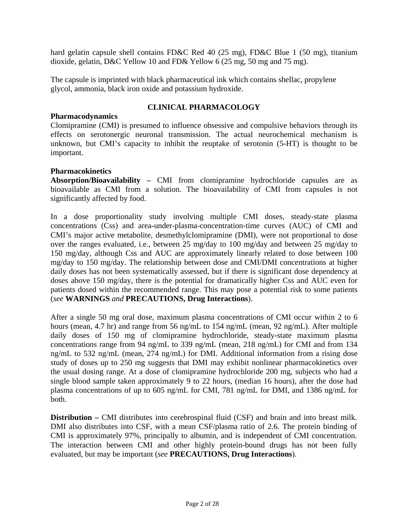<span id="page-1-0"></span>hard gelatin capsule shell contains FD&C Red 40 (25 mg), FD&C Blue 1 (50 mg), titanium dioxide, gelatin, D&C Yellow 10 and FD& Yellow 6 (25 mg, 50 mg and 75 mg).

The capsule is imprinted with black pharmaceutical ink which contains shellac, propylene glycol, ammonia, black iron oxide and potassium hydroxide.

# **CLINICAL PHARMACOLOGY**

## **Pharmacodynamics**

Clomipramine (CMI) is presumed to influence obsessive and compulsive behaviors through its effects on serotonergic neuronal transmission. The actual neurochemical mechanism is unknown, but CMI's capacity to inhibit the reuptake of serotonin (5-HT) is thought to be important.

# **Pharmacokinetics**

**Absorption/Bioavailability –** CMI from clomipramine hydrochloride capsules are as bioavailable as CMI from a solution. The bioavailability of CMI from capsules is not significantly affected by food.

In a dose proportionality study involving multiple CMI doses, steady-state plasma concentrations (Css) and area-under-plasma-concentration-time curves (AUC) of CMI and CMI's major active metabolite, desmethylclomipramine (DMI), were not proportional to dose over the ranges evaluated, i.e., between 25 mg/day to 100 mg/day and between 25 mg/day to 150 mg/day, although Css and AUC are approximately linearly related to dose between 100 mg/day to 150 mg/day. The relationship between dose and CMI/DMI concentrations at higher daily doses has not been systematically assessed, but if there is significant dose dependency at doses above 150 mg/day, there is the potential for dramatically higher Css and AUC even for patients dosed within the recommended range. This may pose a potential risk to some patients (*see* **[WARNINGS](#page-3-1)** *and* **[PRECAUTIONS, Drug Interactions](#page-10-0)**).

After a single 50 mg oral dose, maximum plasma concentrations of CMI occur within 2 to 6 hours (mean, 4.7 hr) and range from 56 ng/mL to 154 ng/mL (mean, 92 ng/mL). After multiple daily doses of 150 mg of clomipramine hydrochloride, steady-state maximum plasma concentrations range from 94 ng/mL to 339 ng/mL (mean, 218 ng/mL) for CMI and from 134 ng/mL to 532 ng/mL (mean, 274 ng/mL) for DMI. Additional information from a rising dose study of doses up to 250 mg suggests that DMI may exhibit nonlinear pharmacokinetics over the usual dosing range. At a dose of clomipramine hydrochloride 200 mg, subjects who had a single blood sample taken approximately 9 to 22 hours, (median 16 hours), after the dose had plasma concentrations of up to 605 ng/mL for CMI, 781 ng/mL for DMI, and 1386 ng/mL for both.

**Distribution** – CMI distributes into cerebrospinal fluid (CSF) and brain and into breast milk. DMI also distributes into CSF, with a mean CSF/plasma ratio of 2.6. The protein binding of CMI is approximately 97%, principally to albumin, and is independent of CMI concentration. The interaction between CMI and other highly protein-bound drugs has not been fully evaluated, but may be important (*see* **[PRECAUTIONS, Drug Interactions](#page-10-0)**).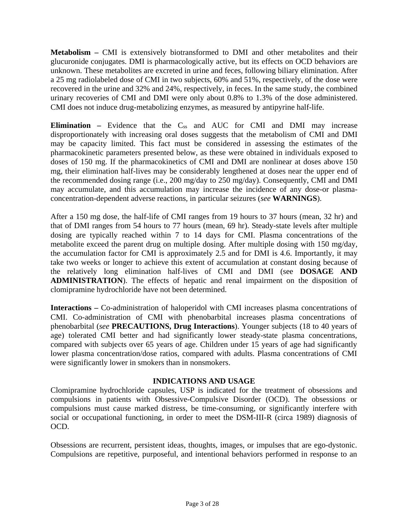<span id="page-2-0"></span>**Metabolism – CMI** is extensively biotransformed to DMI and other metabolites and their glucuronide conjugates. DMI is pharmacologically active, but its effects on OCD behaviors are unknown. These metabolites are excreted in urine and feces, following biliary elimination. After a 25 mg radiolabeled dose of CMI in two subjects, 60% and 51%, respectively, of the dose were recovered in the urine and 32% and 24%, respectively, in feces. In the same study, the combined urinary recoveries of CMI and DMI were only about 0.8% to 1.3% of the dose administered. CMI does not induce drug-metabolizing enzymes, as measured by antipyrine half-life.

**Elimination –** Evidence that the C<sub>ss</sub> and AUC for CMI and DMI may increase disproportionately with increasing oral doses suggests that the metabolism of CMI and DMI may be capacity limited. This fact must be considered in assessing the estimates of the pharmacokinetic parameters presented below, as these were obtained in individuals exposed to doses of 150 mg. If the pharmacokinetics of CMI and DMI are nonlinear at doses above 150 mg, their elimination half-lives may be considerably lengthened at doses near the upper end of the recommended dosing range (i.e., 200 mg/day to 250 mg/day). Consequently, CMI and DMI may accumulate, and this accumulation may increase the incidence of any dose-or plasmaconcentration-dependent adverse reactions, in particular seizures (*see* **[WARNINGS](#page-3-1)**).

After a 150 mg dose, the half-life of CMI ranges from 19 hours to 37 hours (mean, 32 hr) and that of DMI ranges from 54 hours to 77 hours (mean, 69 hr). Steady-state levels after multiple dosing are typically reached within 7 to 14 days for CMI. Plasma concentrations of the metabolite exceed the parent drug on multiple dosing. After multiple dosing with 150 mg/day, the accumulation factor for CMI is approximately 2.5 and for DMI is 4.6. Importantly, it may take two weeks or longer to achieve this extent of accumulation at constant dosing because of [the relatively long elimination half-lives of CMI and DMI \(see](#page-21-0) **DOSAGE AND ADMINISTRATION**). The effects of hepatic and renal impairment on the disposition of clomipramine hydrochloride have not been determined.

**Interactions –** Co-administration of haloperidol with CMI increases plasma concentrations of CMI. Co-administration of CMI with phenobarbital increases plasma concentrations of phenobarbital (*see* **PRECAUTIONS, [Drug Interactions](#page-10-0)**). Younger subjects (18 to 40 years of age) tolerated CMI better and had significantly lower steady-state plasma concentrations, compared with subjects over 65 years of age. Children under 15 years of age had significantly lower plasma concentration/dose ratios, compared with adults. Plasma concentrations of CMI were significantly lower in smokers than in nonsmokers.

### **INDICATIONS AND USAGE**

Clomipramine hydrochloride capsules, USP is indicated for the treatment of obsessions and compulsions in patients with Obsessive-Compulsive Disorder (OCD). The obsessions or compulsions must cause marked distress, be time-consuming, or significantly interfere with social or occupational functioning, in order to meet the DSM-III-R (circa 1989) diagnosis of OCD.

Obsessions are recurrent, persistent ideas, thoughts, images, or impulses that are ego-dystonic. Compulsions are repetitive, purposeful, and intentional behaviors performed in response to an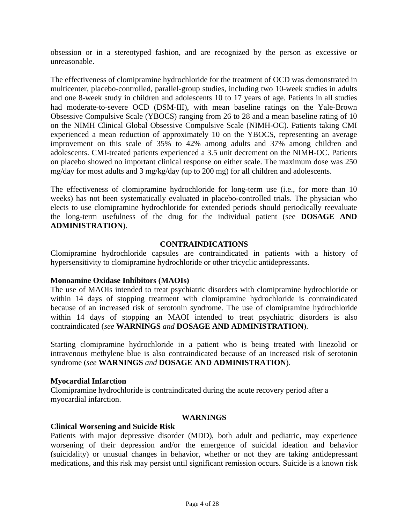<span id="page-3-3"></span><span id="page-3-1"></span><span id="page-3-0"></span>obsession or in a stereotyped fashion, and are recognized by the person as excessive or unreasonable.

The effectiveness of clomipramine hydrochloride for the treatment of OCD was demonstrated in multicenter, placebo-controlled, parallel-group studies, including two 10-week studies in adults and one 8-week study in children and adolescents 10 to 17 years of age. Patients in all studies had moderate-to-severe OCD (DSM-III), with mean baseline ratings on the Yale-Brown Obsessive Compulsive Scale (YBOCS) ranging from 26 to 28 and a mean baseline rating of 10 on the NIMH Clinical Global Obsessive Compulsive Scale (NIMH-OC). Patients taking CMI experienced a mean reduction of approximately 10 on the YBOCS, representing an average improvement on this scale of 35% to 42% among adults and 37% among children and adolescents. CMI-treated patients experienced a 3.5 unit decrement on the NIMH-OC. Patients on placebo showed no important clinical response on either scale. The maximum dose was 250 mg/day for most adults and 3 mg/kg/day (up to 200 mg) for all children and adolescents.

<span id="page-3-2"></span>The effectiveness of clomipramine hydrochloride for long-term use (i.e., for more than 10 weeks) has not been systematically evaluated in placebo-controlled trials. The physician who elects to use clomipramine hydrochloride for extended periods should periodically reevaluate [the long-term usefulness of the drug for the individual patient \(see](#page-21-1) **DOSAGE AND ADMINISTRATION**).

# **CONTRAINDICATIONS**

Clomipramine hydrochloride capsules are contraindicated in patients with a history of hypersensitivity to clomipramine hydrochloride or other tricyclic antidepressants.

## **Monoamine Oxidase Inhibitors (MAOIs)**

The use of MAOIs intended to treat psychiatric disorders with clomipramine hydrochloride or within 14 days of stopping treatment with clomipramine hydrochloride is contraindicated because of an increased risk of serotonin syndrome. The use of clomipramine hydrochloride within 14 days of stopping an MAOI intended to treat psychiatric disorders is also contraindicated (*see* **[WARNINGS](#page-3-1)** *and* **[DOSAGE AND ADMINISTRATION](#page-21-0)**).

Starting clomipramine hydrochloride in a patient who is being treated with linezolid or intravenous methylene blue is also contraindicated because of an increased risk of serotonin syndrome (*see* **[WARNINGS](#page-3-1)** *and* **[DOSAGE AND ADMINISTRATION](#page-21-0)**).

## **Myocardial Infarction**

Clomipramine hydrochloride is contraindicated during the acute recovery period after a myocardial infarction.

### **WARNINGS**

### **Clinical Worsening and Suicide Risk**

Patients with major depressive disorder (MDD), both adult and pediatric, may experience worsening of their depression and/or the emergence of suicidal ideation and behavior (suicidality) or unusual changes in behavior, whether or not they are taking antidepressant medications, and this risk may persist until significant remission occurs. Suicide is a known risk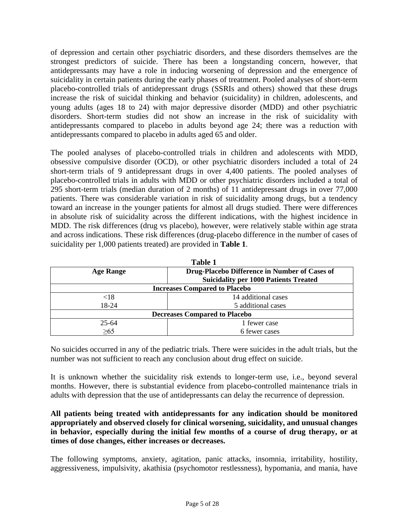of depression and certain other psychiatric disorders, and these disorders themselves are the strongest predictors of suicide. There has been a longstanding concern, however, that antidepressants may have a role in inducing worsening of depression and the emergence of suicidality in certain patients during the early phases of treatment. Pooled analyses of short-term placebo-controlled trials of antidepressant drugs (SSRIs and others) showed that these drugs increase the risk of suicidal thinking and behavior (suicidality) in children, adolescents, and young adults (ages 18 to 24) with major depressive disorder (MDD) and other psychiatric disorders. Short-term studies did not show an increase in the risk of suicidality with antidepressants compared to placebo in adults beyond age 24; there was a reduction with antidepressants compared to placebo in adults aged 65 and older.

The pooled analyses of placebo-controlled trials in children and adolescents with MDD, obsessive compulsive disorder (OCD), or other psychiatric disorders included a total of 24 short-term trials of 9 antidepressant drugs in over 4,400 patients. The pooled analyses of placebo-controlled trials in adults with MDD or other psychiatric disorders included a total of 295 short-term trials (median duration of 2 months) of 11 antidepressant drugs in over 77,000 patients. There was considerable variation in risk of suicidality among drugs, but a tendency toward an increase in the younger patients for almost all drugs studied. There were differences in absolute risk of suicidality across the different indications, with the highest incidence in MDD. The risk differences (drug vs placebo), however, were relatively stable within age strata and across indications. These risk differences (drug-placebo difference in the number of cases of suicidality per 1,000 patients treated) are provided in **Table 1**.

| <b>Table 1</b>                       |                                               |  |  |
|--------------------------------------|-----------------------------------------------|--|--|
| <b>Age Range</b>                     | Drug-Placebo Difference in Number of Cases of |  |  |
|                                      | <b>Suicidality per 1000 Patients Treated</b>  |  |  |
| <b>Increases Compared to Placebo</b> |                                               |  |  |
| $< \! 18$                            | 14 additional cases                           |  |  |
| 18-24                                | 5 additional cases                            |  |  |
| <b>Decreases Compared to Placebo</b> |                                               |  |  |
| $25 - 64$                            | 1 fewer case                                  |  |  |
| $\geq 65$                            | 6 fewer cases                                 |  |  |

No suicides occurred in any of the pediatric trials. There were suicides in the adult trials, but the number was not sufficient to reach any conclusion about drug effect on suicide.

It is unknown whether the suicidality risk extends to longer-term use, i.e., beyond several months. However, there is substantial evidence from placebo-controlled maintenance trials in adults with depression that the use of antidepressants can delay the recurrence of depression.

# **All patients being treated with antidepressants for any indication should be monitored appropriately and observed closely for clinical worsening, suicidality, and unusual changes in behavior, especially during the initial few months of a course of drug therapy, or at times of dose changes, either increases or decreases.**

The following symptoms, anxiety, agitation, panic attacks, insomnia, irritability, hostility, aggressiveness, impulsivity, akathisia (psychomotor restlessness), hypomania, and mania, have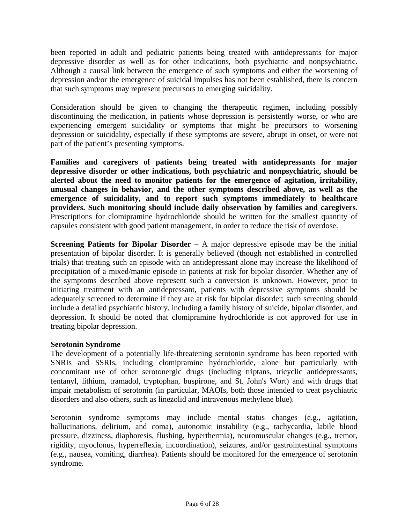been reported in adult and pediatric patients being treated with antidepressants for major depressive disorder as well as for other indications, both psychiatric and nonpsychiatric. Although a causal link between the emergence of such symptoms and either the worsening of depression and/or the emergence of suicidal impulses has not been established, there is concern that such symptoms may represent precursors to emerging suicidality.

Consideration should be given to changing the therapeutic regimen, including possibly discontinuing the medication, in patients whose depression is persistently worse, or who are experiencing emergent suicidality or symptoms that might be precursors to worsening depression or suicidality, especially if these symptoms are severe, abrupt in onset, or were not part of the patient's presenting symptoms.

**Families and caregivers of patients being treated with antidepressants for major depressive disorder or other indications, both psychiatric and nonpsychiatric, should be alerted about the need to monitor patients for the emergence of agitation, irritability, unusual changes in behavior, and the other symptoms described above, as well as the emergence of suicidality, and to report such symptoms immediately to healthcare providers. Such monitoring should include daily observation by families and caregivers.**  Prescriptions for clomipramine hydrochloride should be written for the smallest quantity of capsules consistent with good patient management, in order to reduce the risk of overdose.

**Screening Patients for Bipolar Disorder –** A major depressive episode may be the initial presentation of bipolar disorder. It is generally believed (though not established in controlled trials) that treating such an episode with an antidepressant alone may increase the likelihood of precipitation of a mixed/manic episode in patients at risk for bipolar disorder. Whether any of the symptoms described above represent such a conversion is unknown. However, prior to initiating treatment with an antidepressant, patients with depressive symptoms should be adequately screened to determine if they are at risk for bipolar disorder; such screening should include a detailed psychiatric history, including a family history of suicide, bipolar disorder, and depression. It should be noted that clomipramine hydrochloride is not approved for use in treating bipolar depression.

## **Serotonin Syndrome**

The development of a potentially life-threatening serotonin syndrome has been reported with SNRIs and SSRIs, including clomipramine hydrochloride, alone but particularly with concomitant use of other serotonergic drugs (including triptans, tricyclic antidepressants, fentanyl, lithium, tramadol, tryptophan, buspirone, and St. John's Wort) and with drugs that impair metabolism of serotonin (in particular, MAOIs, both those intended to treat psychiatric disorders and also others, such as linezolid and intravenous methylene blue).

Serotonin syndrome symptoms may include mental status changes (e.g., agitation, hallucinations, delirium, and coma), autonomic instability (e.g., tachycardia, labile blood pressure, dizziness, diaphoresis, flushing, hyperthermia), neuromuscular changes (e.g., tremor, rigidity, myoclonus, hyperreflexia, incoordination), seizures, and/or gastrointestinal symptoms (e.g., nausea, vomiting, diarrhea). Patients should be monitored for the emergence of serotonin syndrome.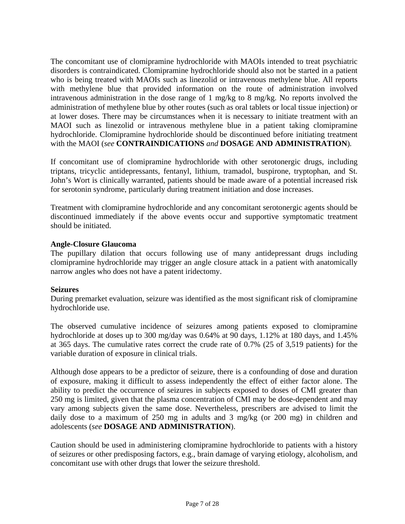The concomitant use of clomipramine hydrochloride with MAOIs intended to treat psychiatric disorders is contraindicated. Clomipramine hydrochloride should also not be started in a patient who is being treated with MAOIs such as linezolid or intravenous methylene blue. All reports with methylene blue that provided information on the route of administration involved intravenous administration in the dose range of 1 mg/kg to 8 mg/kg. No reports involved the administration of methylene blue by other routes (such as oral tablets or local tissue injection) or at lower doses. There may be circumstances when it is necessary to initiate treatment with an MAOI such as linezolid or intravenous methylene blue in a patient taking clomipramine hydrochloride. Clomipramine hydrochloride should be discontinued before initiating treatment with the MAOI (*see* **[CONTRAINDICATIONS](#page-3-2)** *and* **[DOSAGE AND ADMINISTRATION](#page-21-2)**)*.* 

If concomitant use of clomipramine hydrochloride with other serotonergic drugs, including triptans, tricyclic antidepressants, fentanyl, lithium, tramadol, buspirone, tryptophan, and St. John's Wort is clinically warranted, patients should be made aware of a potential increased risk for serotonin syndrome, particularly during treatment initiation and dose increases.

Treatment with clomipramine hydrochloride and any concomitant serotonergic agents should be discontinued immediately if the above events occur and supportive symptomatic treatment should be initiated.

## **Angle-Closure Glaucoma**

The pupillary dilation that occurs following use of many antidepressant drugs including clomipramine hydrochloride may trigger an angle closure attack in a patient with anatomically narrow angles who does not have a patent iridectomy.

## **Seizures**

During premarket evaluation, seizure was identified as the most significant risk of clomipramine hydrochloride use.

The observed cumulative incidence of seizures among patients exposed to clomipramine hydrochloride at doses up to 300 mg/day was 0.64% at 90 days, 1.12% at 180 days, and 1.45% at 365 days. The cumulative rates correct the crude rate of 0.7% (25 of 3,519 patients) for the variable duration of exposure in clinical trials.

Although dose appears to be a predictor of seizure, there is a confounding of dose and duration of exposure, making it difficult to assess independently the effect of either factor alone. The ability to predict the occurrence of seizures in subjects exposed to doses of CMI greater than 250 mg is limited, given that the plasma concentration of CMI may be dose-dependent and may vary among subjects given the same dose. Nevertheless, prescribers are advised to limit the daily dose to a maximum of 250 mg in adults and 3 mg/kg (or 200 mg) in children and adolescents (*see* **[DOSAGE AND ADMINISTRATION](#page-21-0)**).

Caution should be used in administering clomipramine hydrochloride to patients with a history of seizures or other predisposing factors, e.g., brain damage of varying etiology, alcoholism, and concomitant use with other drugs that lower the seizure threshold.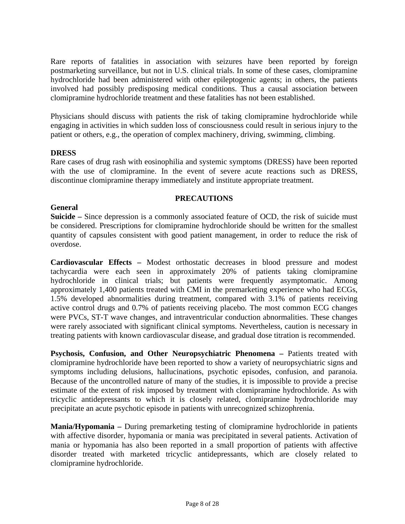Rare reports of fatalities in association with seizures have been reported by foreign postmarketing surveillance, but not in U.S. clinical trials. In some of these cases, clomipramine hydrochloride had been administered with other epileptogenic agents; in others, the patients involved had possibly predisposing medical conditions. Thus a causal association between clomipramine hydrochloride treatment and these fatalities has not been established.

Physicians should discuss with patients the risk of taking clomipramine hydrochloride while engaging in activities in which sudden loss of consciousness could result in serious injury to the patient or others, e.g., the operation of complex machinery, driving, swimming, climbing.

## **DRESS**

Rare cases of drug rash with eosinophilia and systemic symptoms (DRESS) have been reported with the use of clomipramine. In the event of severe acute reactions such as DRESS, discontinue clomipramine therapy immediately and institute appropriate treatment.

## **PRECAUTIONS**

### **General**

**Suicide –** Since depression is a commonly associated feature of OCD, the risk of suicide must be considered. Prescriptions for clomipramine hydrochloride should be written for the smallest quantity of capsules consistent with good patient management, in order to reduce the risk of overdose.

**Cardiovascular Effects –** Modest orthostatic decreases in blood pressure and modest tachycardia were each seen in approximately 20% of patients taking clomipramine hydrochloride in clinical trials; but patients were frequently asymptomatic. Among approximately 1,400 patients treated with CMI in the premarketing experience who had ECGs, 1.5% developed abnormalities during treatment, compared with 3.1% of patients receiving active control drugs and 0.7% of patients receiving placebo. The most common ECG changes were PVCs, ST-T wave changes, and intraventricular conduction abnormalities. These changes were rarely associated with significant clinical symptoms. Nevertheless, caution is necessary in treating patients with known cardiovascular disease, and gradual dose titration is recommended.

**Psychosis, Confusion, and Other Neuropsychiatric Phenomena –** Patients treated with clomipramine hydrochloride have been reported to show a variety of neuropsychiatric signs and symptoms including delusions, hallucinations, psychotic episodes, confusion, and paranoia. Because of the uncontrolled nature of many of the studies, it is impossible to provide a precise estimate of the extent of risk imposed by treatment with clomipramine hydrochloride. As with tricyclic antidepressants to which it is closely related, clomipramine hydrochloride may precipitate an acute psychotic episode in patients with unrecognized schizophrenia.

**Mania/Hypomania –** During premarketing testing of clomipramine hydrochloride in patients with affective disorder, hypomania or mania was precipitated in several patients. Activation of mania or hypomania has also been reported in a small proportion of patients with affective disorder treated with marketed tricyclic antidepressants, which are closely related to clomipramine hydrochloride.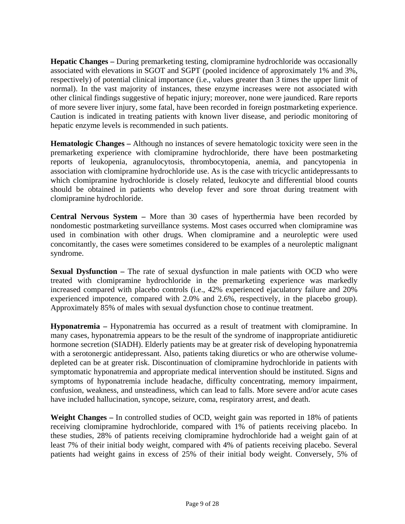<span id="page-8-1"></span><span id="page-8-0"></span>**Hepatic Changes –** During premarketing testing, clomipramine hydrochloride was occasionally associated with elevations in SGOT and SGPT (pooled incidence of approximately 1% and 3%, respectively) of potential clinical importance (i.e., values greater than 3 times the upper limit of normal). In the vast majority of instances, these enzyme increases were not associated with other clinical findings suggestive of hepatic injury; moreover, none were jaundiced. Rare reports of more severe liver injury, some fatal, have been recorded in foreign postmarketing experience. Caution is indicated in treating patients with known liver disease, and periodic monitoring of hepatic enzyme levels is recommended in such patients.

**Hematologic Changes –** Although no instances of severe hematologic toxicity were seen in the premarketing experience with clomipramine hydrochloride, there have been postmarketing reports of leukopenia, agranulocytosis, thrombocytopenia, anemia, and pancytopenia in association with clomipramine hydrochloride use. As is the case with tricyclic antidepressants to which clomipramine hydrochloride is closely related, leukocyte and differential blood counts should be obtained in patients who develop fever and sore throat during treatment with clomipramine hydrochloride.

**Central Nervous System –** More than 30 cases of hyperthermia have been recorded by nondomestic postmarketing surveillance systems. Most cases occurred when clomipramine was used in combination with other drugs. When clomipramine and a neuroleptic were used concomitantly, the cases were sometimes considered to be examples of a neuroleptic malignant syndrome.

**Sexual Dysfunction –** The rate of sexual dysfunction in male patients with OCD who were treated with clomipramine hydrochloride in the premarketing experience was markedly increased compared with placebo controls (i.e., 42% experienced ejaculatory failure and 20% experienced impotence, compared with 2.0% and 2.6%, respectively, in the placebo group). Approximately 85% of males with sexual dysfunction chose to continue treatment.

**Hyponatremia –** Hyponatremia has occurred as a result of treatment with clomipramine. In many cases, hyponatremia appears to be the result of the syndrome of inappropriate antidiuretic hormone secretion (SIADH). Elderly patients may be at greater risk of developing hyponatremia with a serotonergic antidepressant. Also, patients taking diuretics or who are otherwise volumedepleted can be at greater risk. Discontinuation of clomipramine hydrochloride in patients with symptomatic hyponatremia and appropriate medical intervention should be instituted. Signs and symptoms of hyponatremia include headache, difficulty concentrating, memory impairment, confusion, weakness, and unsteadiness, which can lead to falls. More severe and/or acute cases have included hallucination, syncope, seizure, coma, respiratory arrest, and death.

**Weight Changes –** In controlled studies of OCD, weight gain was reported in 18% of patients receiving clomipramine hydrochloride, compared with 1% of patients receiving placebo. In these studies, 28% of patients receiving clomipramine hydrochloride had a weight gain of at least 7% of their initial body weight, compared with 4% of patients receiving placebo. Several patients had weight gains in excess of 25% of their initial body weight. Conversely, 5% of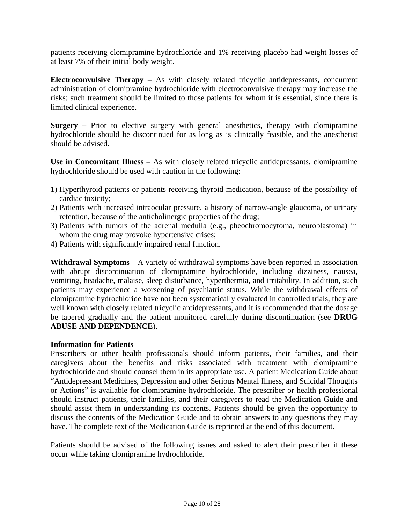<span id="page-9-1"></span><span id="page-9-0"></span>patients receiving clomipramine hydrochloride and 1% receiving placebo had weight losses of at least 7% of their initial body weight.

**Electroconvulsive Therapy –** As with closely related tricyclic antidepressants, concurrent administration of clomipramine hydrochloride with electroconvulsive therapy may increase the risks; such treatment should be limited to those patients for whom it is essential, since there is limited clinical experience.

**Surgery –** Prior to elective surgery with general anesthetics, therapy with clomipramine hydrochloride should be discontinued for as long as is clinically feasible, and the anesthetist should be advised.

**Use in Concomitant Illness –** As with closely related tricyclic antidepressants, clomipramine hydrochloride should be used with caution in the following:

- 1) Hyperthyroid patients or patients receiving thyroid medication, because of the possibility of cardiac toxicity;
- 2) Patients with increased intraocular pressure, a history of narrow-angle glaucoma, or urinary retention, because of the anticholinergic properties of the drug;
- 3) Patients with tumors of the adrenal medulla (e.g., pheochromocytoma, neuroblastoma) in whom the drug may provoke hypertensive crises;
- 4) Patients with significantly impaired renal function.

**Withdrawal Symptoms** – A variety of withdrawal symptoms have been reported in association with abrupt discontinuation of clomipramine hydrochloride, including dizziness, nausea, vomiting, headache, malaise, sleep disturbance, hyperthermia, and irritability. In addition, such patients may experience a worsening of psychiatric status. While the withdrawal effects of clomipramine hydrochloride have not been systematically evaluated in controlled trials, they are well known with closely related tricyclic antidepressants, and it is recommended that the dosage [be tapered gradually and the patient monitored carefully during discontinuation \(see](#page-19-0) **DRUG ABUSE AND DEPENDENCE**).

## **Information for Patients**

Prescribers or other health professionals should inform patients, their families, and their caregivers about the benefits and risks associated with treatment with clomipramine hydrochloride and should counsel them in its appropriate use. A patient Medication Guide about "Antidepressant Medicines, Depression and other Serious Mental Illness, and Suicidal Thoughts or Actions" is available for clomipramine hydrochloride. The prescriber or health professional should instruct patients, their families, and their caregivers to read the Medication Guide and should assist them in understanding its contents. Patients should be given the opportunity to discuss the contents of the Medication Guide and to obtain answers to any questions they may have. The complete text of the Medication Guide is reprinted at the end of this document.

Patients should be advised of the following issues and asked to alert their prescriber if these occur while taking clomipramine hydrochloride.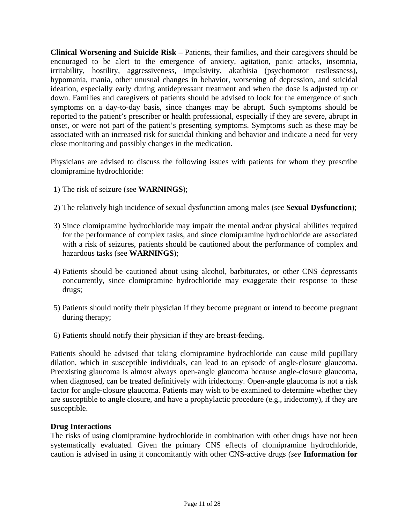<span id="page-10-0"></span>**Clinical Worsening and Suicide Risk –** Patients, their families, and their caregivers should be encouraged to be alert to the emergence of anxiety, agitation, panic attacks, insomnia, irritability, hostility, aggressiveness, impulsivity, akathisia (psychomotor restlessness), hypomania, mania, other unusual changes in behavior, worsening of depression, and suicidal ideation, especially early during antidepressant treatment and when the dose is adjusted up or down. Families and caregivers of patients should be advised to look for the emergence of such symptoms on a day-to-day basis, since changes may be abrupt. Such symptoms should be reported to the patient's prescriber or health professional, especially if they are severe, abrupt in onset, or were not part of the patient's presenting symptoms. Symptoms such as these may be associated with an increased risk for suicidal thinking and behavior and indicate a need for very close monitoring and possibly changes in the medication.

Physicians are advised to discuss the following issues with patients for whom they prescribe clomipramine hydrochloride:

- 1) The risk of seizure (see **[WARNINGS](#page-3-1)**);
- 2) The relatively high incidence of sexual dysfunction among males (see **[Sexual Dysfunction](#page-8-0)**);
- 3) Since clomipramine hydrochloride may impair the mental and/or physical abilities required for the performance of complex tasks, and since clomipramine hydrochloride are associated with a risk of seizures, patients should be cautioned about the performance of complex and hazardous tasks (see **[WARNINGS](#page-3-1)**);
- 4) Patients should be cautioned about using alcohol, barbiturates, or other CNS depressants concurrently, since clomipramine hydrochloride may exaggerate their response to these drugs;
- 5) Patients should notify their physician if they become pregnant or intend to become pregnant during therapy;
- 6) Patients should notify their physician if they are breast-feeding.

Patients should be advised that taking clomipramine hydrochloride can cause mild pupillary dilation, which in susceptible individuals, can lead to an episode of angle-closure glaucoma. Preexisting glaucoma is almost always open-angle glaucoma because angle-closure glaucoma, when diagnosed, can be treated definitively with iridectomy. Open-angle glaucoma is not a risk factor for angle-closure glaucoma. Patients may wish to be examined to determine whether they are susceptible to angle closure, and have a prophylactic procedure (e.g., iridectomy), if they are susceptible.

## **Drug Interactions**

The risks of using clomipramine hydrochloride in combination with other drugs have not been systematically evaluated. Given the primary CNS effects of clomipramine hydrochloride, caution is advised in using it concomitantly with other CNS-active drugs (*see* **[Information for](#page-9-0)**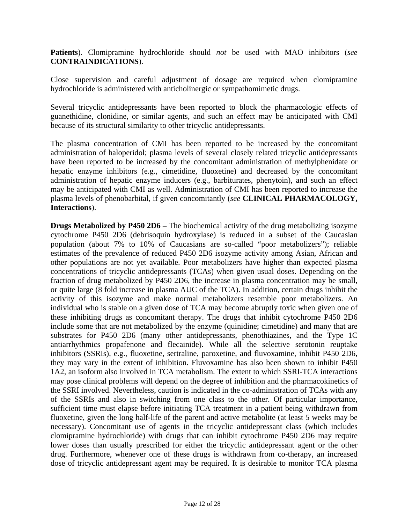**Patients**). Clomipramine hydrochloride should *not* be used with MAO inhibitors (*see*  **[CONTRAINDICATIONS](#page-3-1)**).

Close supervision and careful adjustment of dosage are required when clomipramine hydrochloride is administered with anticholinergic or sympathomimetic drugs.

Several tricyclic antidepressants have been reported to block the pharmacologic effects of guanethidine, clonidine, or similar agents, and such an effect may be anticipated with CMI because of its structural similarity to other tricyclic antidepressants.

The plasma concentration of CMI has been reported to be increased by the concomitant administration of haloperidol; plasma levels of several closely related tricyclic antidepressants have been reported to be increased by the concomitant administration of methylphenidate or hepatic enzyme inhibitors (e.g., cimetidine, fluoxetine) and decreased by the concomitant administration of hepatic enzyme inducers (e.g., barbiturates, phenytoin), and such an effect may be anticipated with CMI as well. Administration of CMI has been reported to increase the [plasma levels of phenobarbital, if given concomitantly \(](#page-2-0)*see* **CLINICAL PHARMACOLOGY, Interactions**).

**Drugs Metabolized by P450 2D6 –** The biochemical activity of the drug metabolizing isozyme cytochrome P450 2D6 (debrisoquin hydroxylase) is reduced in a subset of the Caucasian population (about 7% to 10% of Caucasians are so-called "poor metabolizers"); reliable estimates of the prevalence of reduced P450 2D6 isozyme activity among Asian, African and other populations are not yet available. Poor metabolizers have higher than expected plasma concentrations of tricyclic antidepressants (TCAs) when given usual doses. Depending on the fraction of drug metabolized by P450 2D6, the increase in plasma concentration may be small, or quite large (8 fold increase in plasma AUC of the TCA). In addition, certain drugs inhibit the activity of this isozyme and make normal metabolizers resemble poor metabolizers. An individual who is stable on a given dose of TCA may become abruptly toxic when given one of these inhibiting drugs as concomitant therapy. The drugs that inhibit cytochrome P450 2D6 include some that are not metabolized by the enzyme (quinidine; cimetidine) and many that are substrates for P450 2D6 (many other antidepressants, phenothiazines, and the Type 1C antiarrhythmics propafenone and flecainide). While all the selective serotonin reuptake inhibitors (SSRIs), e.g., fluoxetine, sertraline, paroxetine, and fluvoxamine, inhibit P450 2D6, they may vary in the extent of inhibition. Fluvoxamine has also been shown to inhibit P450 1A2, an isoform also involved in TCA metabolism. The extent to which SSRI-TCA interactions may pose clinical problems will depend on the degree of inhibition and the pharmacokinetics of the SSRI involved. Nevertheless, caution is indicated in the co-administration of TCAs with any of the SSRIs and also in switching from one class to the other. Of particular importance, sufficient time must elapse before initiating TCA treatment in a patient being withdrawn from fluoxetine, given the long half-life of the parent and active metabolite (at least 5 weeks may be necessary). Concomitant use of agents in the tricyclic antidepressant class (which includes clomipramine hydrochloride) with drugs that can inhibit cytochrome P450 2D6 may require lower doses than usually prescribed for either the tricyclic antidepressant agent or the other drug. Furthermore, whenever one of these drugs is withdrawn from co-therapy, an increased dose of tricyclic antidepressant agent may be required. It is desirable to monitor TCA plasma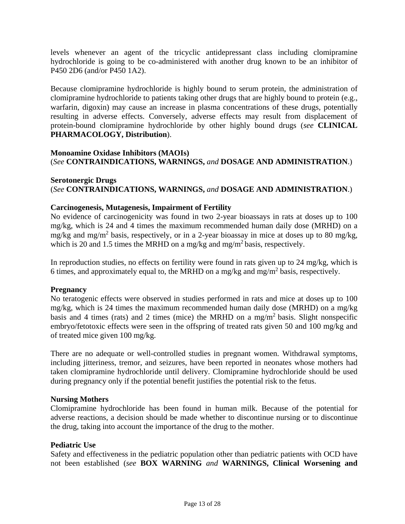<span id="page-12-0"></span>levels whenever an agent of the tricyclic antidepressant class including clomipramine hydrochloride is going to be co-administered with another drug known to be an inhibitor of P450 2D6 (and/or P450 1A2).

Because clomipramine hydrochloride is highly bound to serum protein, the administration of clomipramine hydrochloride to patients taking other drugs that are highly bound to protein (e.g., warfarin, digoxin) may cause an increase in plasma concentrations of these drugs, potentially resulting in adverse effects. Conversely, adverse effects may result from displacement of protein-bound clomipramine hydrochloride by other highly bound drugs (*see* **CLINICAL [PHARMACOLOGY, Distribution](#page-1-0)**).

# **Monoamine Oxidase Inhibitors (MAOIs)** (*See* **[CONTRAINDICATIONS, WARNINGS,](#page-3-1)** *and* **[DOSAGE AND ADMINISTRATION](#page-21-0)**.)

# **Serotonergic Drugs** (*See* **[CONTRAINDICATIONS, WARNINGS,](#page-3-1)** *and* **[DOSAGE AND ADMINISTRATION](#page-21-0)**.)

## **Carcinogenesis, Mutagenesis, Impairment of Fertility**

No evidence of carcinogenicity was found in two 2-year bioassays in rats at doses up to 100 mg/kg, which is 24 and 4 times the maximum recommended human daily dose (MRHD) on a mg/kg and mg/m<sup>2</sup> basis, respectively, or in a 2-year bioassay in mice at doses up to 80 mg/kg, which is 20 and 1.5 times the MRHD on a mg/kg and mg/m<sup>2</sup> basis, respectively.

In reproduction studies, no effects on fertility were found in rats given up to 24 mg/kg, which is 6 times, and approximately equal to, the MRHD on a mg/kg and mg/m2 basis, respectively.

## **Pregnancy**

No teratogenic effects were observed in studies performed in rats and mice at doses up to 100 mg/kg, which is 24 times the maximum recommended human daily dose (MRHD) on a mg/kg basis and 4 times (rats) and 2 times (mice) the MRHD on a mg/m2 basis. Slight nonspecific embryo/fetotoxic effects were seen in the offspring of treated rats given 50 and 100 mg/kg and of treated mice given 100 mg/kg.

There are no adequate or well-controlled studies in pregnant women. Withdrawal symptoms, including jitteriness, tremor, and seizures, have been reported in neonates whose mothers had taken clomipramine hydrochloride until delivery. Clomipramine hydrochloride should be used during pregnancy only if the potential benefit justifies the potential risk to the fetus.

## **Nursing Mothers**

Clomipramine hydrochloride has been found in human milk. Because of the potential for adverse reactions, a decision should be made whether to discontinue nursing or to discontinue the drug, taking into account the importance of the drug to the mother.

## **Pediatric Use**

Safety and effectiveness in the pediatric population other than pediatric patients with OCD have not been established (*see* **[BOX WARNING](#page-0-0)** *and* **[WARNINGS,](#page-3-1) [Clinical Worsening and](#page-3-1)**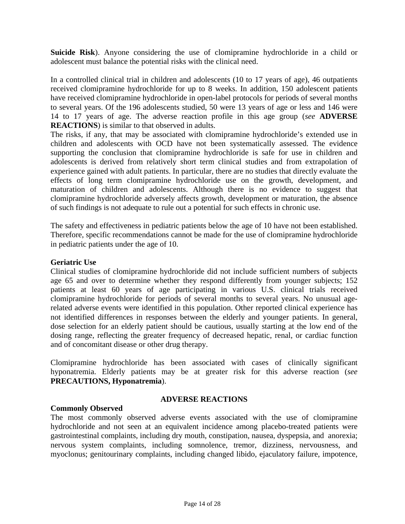<span id="page-13-0"></span>**Suicide Risk**). Anyone considering the use of clomipramine hydrochloride in a child or adolescent must balance the potential risks with the clinical need.

In a controlled clinical trial in children and adolescents (10 to 17 years of age), 46 outpatients received clomipramine hydrochloride for up to 8 weeks. In addition, 150 adolescent patients have received clomipramine hydrochloride in open-label protocols for periods of several months to several years. Of the 196 adolescents studied, 50 were 13 years of age or less and 146 were [14 to 17 years of age. The adverse reaction profile in this age group \(](#page-13-0)*see* **ADVERSE REACTIONS**) is similar to that observed in adults.

The risks, if any, that may be associated with clomipramine hydrochloride's extended use in children and adolescents with OCD have not been systematically assessed. The evidence supporting the conclusion that clomipramine hydrochloride is safe for use in children and adolescents is derived from relatively short term clinical studies and from extrapolation of experience gained with adult patients. In particular, there are no studies that directly evaluate the effects of long term clomipramine hydrochloride use on the growth, development, and maturation of children and adolescents. Although there is no evidence to suggest that clomipramine hydrochloride adversely affects growth, development or maturation, the absence of such findings is not adequate to rule out a potential for such effects in chronic use.

The safety and effectiveness in pediatric patients below the age of 10 have not been established. Therefore, specific recommendations cannot be made for the use of clomipramine hydrochloride in pediatric patients under the age of 10.

## **Geriatric Use**

Clinical studies of clomipramine hydrochloride did not include sufficient numbers of subjects age 65 and over to determine whether they respond differently from younger subjects; 152 patients at least 60 years of age participating in various U.S. clinical trials received clomipramine hydrochloride for periods of several months to several years. No unusual agerelated adverse events were identified in this population. Other reported clinical experience has not identified differences in responses between the elderly and younger patients. In general, dose selection for an elderly patient should be cautious, usually starting at the low end of the dosing range, reflecting the greater frequency of decreased hepatic, renal, or cardiac function and of concomitant disease or other drug therapy.

Clomipramine hydrochloride has been associated with cases of clinically significant hyponatremia. Elderly patients may be at greater risk for this adverse reaction (*see*  **[PRECAUTIONS, Hyponatremia](#page-8-1)**).

## **Commonly Observed**

### **ADVERSE REACTIONS**

The most commonly observed adverse events associated with the use of clomipramine hydrochloride and not seen at an equivalent incidence among placebo-treated patients were gastrointestinal complaints, including dry mouth, constipation, nausea, dyspepsia, and anorexia; nervous system complaints, including somnolence, tremor, dizziness, nervousness, and myoclonus; genitourinary complaints, including changed libido, ejaculatory failure, impotence,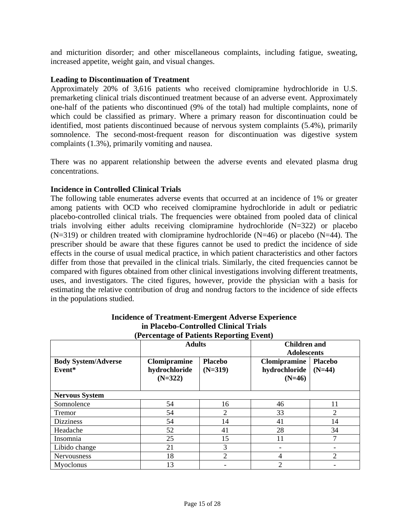and micturition disorder; and other miscellaneous complaints, including fatigue, sweating, increased appetite, weight gain, and visual changes.

## **Leading to Discontinuation of Treatment**

Approximately 20% of 3,616 patients who received clomipramine hydrochloride in U.S. premarketing clinical trials discontinued treatment because of an adverse event. Approximately one-half of the patients who discontinued (9% of the total) had multiple complaints, none of which could be classified as primary. Where a primary reason for discontinuation could be identified, most patients discontinued because of nervous system complaints (5.4%), primarily somnolence. The second-most-frequent reason for discontinuation was digestive system complaints (1.3%), primarily vomiting and nausea.

There was no apparent relationship between the adverse events and elevated plasma drug concentrations.

# **Incidence in Controlled Clinical Trials**

The following table enumerates adverse events that occurred at an incidence of 1% or greater among patients with OCD who received clomipramine hydrochloride in adult or pediatric placebo-controlled clinical trials. The frequencies were obtained from pooled data of clinical trials involving either adults receiving clomipramine hydrochloride (N=322) or placebo  $(N=319)$  or children treated with clomipramine hydrochloride  $(N=46)$  or placebo  $(N=44)$ . The prescriber should be aware that these figures cannot be used to predict the incidence of side effects in the course of usual medical practice, in which patient characteristics and other factors differ from those that prevailed in the clinical trials. Similarly, the cited frequencies cannot be compared with figures obtained from other clinical investigations involving different treatments, uses, and investigators. The cited figures, however, provide the physician with a basis for estimating the relative contribution of drug and nondrug factors to the incidence of side effects in the populations studied.

| (Fercentage of Fatients Reporting Event) |                                                   |                             |                                           |                            |  |
|------------------------------------------|---------------------------------------------------|-----------------------------|-------------------------------------------|----------------------------|--|
|                                          | <b>Adults</b>                                     |                             | <b>Children and</b><br><b>Adolescents</b> |                            |  |
| <b>Body System/Adverse</b><br>Event*     | <b>Clomipramine</b><br>hydrochloride<br>$(N=322)$ | <b>Placebo</b><br>$(N=319)$ | Clomipramine<br>hydrochloride<br>$(N=46)$ | <b>Placebo</b><br>$(N=44)$ |  |
| <b>Nervous System</b>                    |                                                   |                             |                                           |                            |  |
| Somnolence                               | 54                                                | 16                          | 46                                        | 11                         |  |
| Tremor                                   | 54                                                | 2                           | 33                                        | $\overline{2}$             |  |
| <b>Dizziness</b>                         | 54                                                | 14                          | 41                                        | 14                         |  |
| Headache                                 | 52                                                | 41                          | 28                                        | 34                         |  |
| Insomnia                                 | 25                                                | 15                          | 11                                        |                            |  |
| Libido change                            | 21                                                | 3                           |                                           |                            |  |
| <b>Nervousness</b>                       | 18                                                | $\overline{2}$              | 4                                         | $\overline{c}$             |  |
| Myoclonus                                | 13                                                |                             | 2                                         |                            |  |

#### **Incidence of Treatment-Emergent Adverse Experience in Placebo-Controlled Clinical Trials (Percentage of Patients Reporting Event)**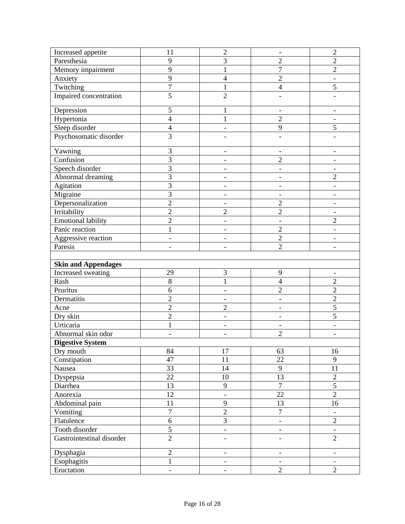| Increased appetite         | 11                       | $\overline{2}$               | $\overline{\phantom{a}}$                   | $\sqrt{2}$                                 |
|----------------------------|--------------------------|------------------------------|--------------------------------------------|--------------------------------------------|
| Paresthesia                | 9                        | $\overline{3}$               | $\overline{2}$                             | $\overline{c}$                             |
| Memory impairment          | 9                        | $\mathbf{1}$                 | $\overline{7}$                             | $\overline{2}$                             |
| Anxiety                    | 9                        | $\overline{4}$               | $\overline{2}$                             |                                            |
| Twitching                  | $\overline{7}$           | $\mathbf{1}$                 | $\overline{4}$                             | 5                                          |
| Impaired concentration     | $\overline{5}$           | $\overline{2}$               |                                            |                                            |
| Depression                 | 5                        | 1                            |                                            |                                            |
| Hypertonia                 | $\overline{4}$           | $\mathbf{1}$                 | $\overline{2}$                             | $\overline{\phantom{0}}$                   |
| Sleep disorder             | $\overline{\mathcal{A}}$ | $\qquad \qquad -$            | 9                                          | 5                                          |
| Psychosomatic disorder     | $\overline{3}$           |                              |                                            |                                            |
| Yawning                    | 3                        | -                            | $\overline{\phantom{a}}$                   | $\overline{\phantom{0}}$                   |
| Confusion                  | 3                        | $\qquad \qquad -$            | $\overline{2}$                             |                                            |
| Speech disorder            | $\overline{3}$           | $\overline{\phantom{a}}$     | $\overline{\phantom{a}}$                   |                                            |
| Abnormal dreaming          | $\overline{3}$           | $\overline{a}$               | $\overline{\phantom{a}}$                   | $\overline{2}$                             |
| Agitation                  | 3                        |                              |                                            |                                            |
| Migraine                   | $\overline{3}$           | $\overline{\phantom{0}}$     | $\qquad \qquad \blacksquare$               |                                            |
| Depersonalization          | $\overline{2}$           | $\overline{\phantom{a}}$     | $\overline{2}$                             | $\overline{\phantom{0}}$                   |
| Irritability               | $\overline{2}$           | $\overline{c}$               | $\overline{2}$                             |                                            |
| <b>Emotional lability</b>  | $\overline{2}$           | $\overline{\phantom{a}}$     | $\overline{\phantom{a}}$                   | $\overline{c}$                             |
| Panic reaction             | $\mathbf{1}$             | -                            | $\overline{2}$                             |                                            |
| Aggressive reaction        | $\qquad \qquad -$        | $\qquad \qquad \blacksquare$ | $\overline{2}$                             | $\overline{\phantom{0}}$                   |
| Paresis                    | $\overline{\phantom{0}}$ | $\overline{\phantom{a}}$     | $\overline{2}$                             | $\overline{\phantom{a}}$                   |
|                            |                          |                              |                                            |                                            |
| <b>Skin and Appendages</b> |                          |                              |                                            |                                            |
| Increased sweating         | 29                       | 3                            | 9                                          |                                            |
| Rash                       | 8                        | $\mathbf{1}$                 | $\overline{4}$                             | $\overline{2}$                             |
| Pruritus                   | 6                        | $\qquad \qquad \blacksquare$ | $\overline{2}$                             | $\overline{2}$                             |
| Dermatitis                 | $\overline{c}$           | $\qquad \qquad -$            |                                            | $\overline{c}$                             |
| Acne                       | $\overline{2}$           | $\overline{2}$               | $\qquad \qquad \blacksquare$               | 5                                          |
| Dry skin                   | $\overline{2}$           | $\overline{\phantom{a}}$     | $\overline{\phantom{a}}$                   | 5                                          |
| Urticaria                  | $\mathbf{1}$             | L,                           |                                            |                                            |
| Abnormal skin odor         | -                        | $\overline{\phantom{a}}$     | $\overline{2}$                             | $\qquad \qquad \blacksquare$               |
| <b>Digestive System</b>    |                          |                              |                                            |                                            |
| Dry mouth                  | 84                       | 17                           | 63                                         | 16                                         |
| Constipation               | 47                       | 11                           | 22                                         | 9                                          |
| Nausea                     | 33                       | 14                           | $\mathbf{9}$                               | 11                                         |
| Dyspepsia                  | 22                       | $10\,$                       | $\overline{13}$                            | $\overline{2}$                             |
| Diarrhea                   | 13                       | $\mathbf{9}$                 | $\boldsymbol{7}$                           | $\mathfrak s$                              |
| Anorexia                   | 12                       | ÷,                           | $\overline{22}$                            | $\overline{2}$                             |
| Abdominal pain             | 11                       | $\overline{9}$               | $\overline{13}$                            | 16                                         |
| Vomiting                   | $\overline{7}$           | $\overline{2}$               | $\boldsymbol{7}$                           |                                            |
| Flatulence                 | $\sqrt{6}$               | $\overline{3}$               | $\overline{\phantom{a}}$                   | $\overline{2}$                             |
| Tooth disorder             | $\overline{5}$           | $\mathbb{L}$                 | $\blacksquare$                             | $\blacksquare$                             |
|                            |                          |                              |                                            |                                            |
| Gastrointestinal disorder  | $\overline{2}$           | -                            | $\overline{\phantom{0}}$                   | $\overline{2}$                             |
| Dysphagia                  | $\sqrt{2}$               | $\overline{\phantom{0}}$     | $\overline{\phantom{a}}$                   | $\overline{\phantom{0}}$                   |
| Esophagitis<br>Eructation  | $\,1$                    | $\qquad \qquad -$            | $\overline{\phantom{a}}$<br>$\overline{2}$ | $\overline{\phantom{a}}$<br>$\overline{2}$ |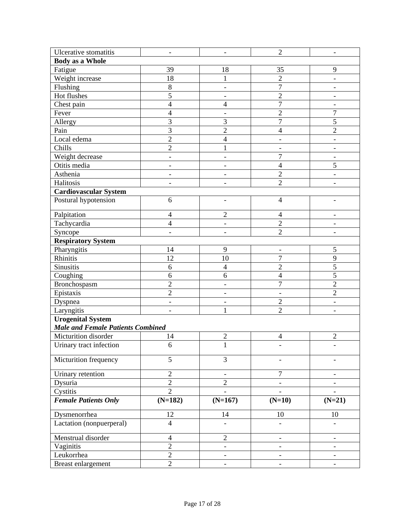| Ulcerative stomatitis                    | $\overline{\phantom{a}}$     | $\qquad \qquad -$            | $\overline{2}$               | $\overline{\phantom{0}}$ |
|------------------------------------------|------------------------------|------------------------------|------------------------------|--------------------------|
| <b>Body as a Whole</b>                   |                              |                              |                              |                          |
| Fatigue                                  | 39                           | 18                           | 35                           | 9                        |
| Weight increase                          | 18                           | $\mathbf{1}$                 | $\overline{2}$               | $\overline{\phantom{0}}$ |
| Flushing                                 | $\,8\,$                      | $\qquad \qquad -$            | $\overline{7}$               | $\overline{\phantom{a}}$ |
| Hot flushes                              | $\overline{5}$               | $\qquad \qquad -$            | $\overline{2}$               |                          |
| Chest pain                               | $\overline{4}$               | $\overline{4}$               | $\overline{7}$               |                          |
| Fever                                    | $\overline{4}$               | -                            | $\overline{2}$               | $\overline{7}$           |
| Allergy                                  | 3                            | 3                            | $\overline{7}$               | 5                        |
| Pain                                     | $\overline{3}$               | $\overline{2}$               | $\overline{\mathcal{A}}$     | $\overline{2}$           |
| Local edema                              | $\overline{c}$               | $\overline{4}$               |                              |                          |
| Chills                                   | $\overline{2}$               | $\mathbf{1}$                 | $\qquad \qquad -$            | $\overline{\phantom{0}}$ |
| Weight decrease                          | $\overline{\phantom{0}}$     | $\overline{\phantom{a}}$     | $\overline{7}$               | $\overline{\phantom{0}}$ |
| Otitis media                             | $\overline{a}$               | $\overline{a}$               | $\overline{4}$               | 5                        |
| Asthenia                                 | $\qquad \qquad \blacksquare$ | $\qquad \qquad \blacksquare$ | $\overline{2}$               | $\overline{\phantom{0}}$ |
| Halitosis                                | $\overline{a}$               | -                            | $\overline{2}$               |                          |
| <b>Cardiovascular System</b>             |                              |                              |                              |                          |
| Postural hypotension                     | 6                            | L,                           | $\overline{4}$               |                          |
| Palpitation                              | $\overline{4}$               | $\overline{2}$               | $\overline{4}$               |                          |
| Tachycardia                              | $\overline{4}$               | $\qquad \qquad \blacksquare$ | $\overline{2}$               |                          |
| Syncope                                  |                              | $\overline{a}$               | $\overline{2}$               |                          |
| <b>Respiratory System</b>                |                              |                              |                              |                          |
| Pharyngitis                              | 14                           | 9                            | $\overline{\phantom{a}}$     | 5                        |
| Rhinitis                                 | 12                           | 10                           | 7                            | 9                        |
| Sinusitis                                | 6                            | $\overline{4}$               | $\overline{2}$               | 5                        |
| Coughing                                 | 6                            | 6                            | $\overline{4}$               | 5                        |
| Bronchospasm                             | $\overline{2}$               | $\qquad \qquad -$            | $\overline{7}$               | $\overline{2}$           |
| Epistaxis                                | $\overline{c}$               | $\overline{\phantom{a}}$     | $\overline{\phantom{a}}$     | $\overline{2}$           |
| Dyspnea                                  | $\overline{\phantom{0}}$     | $\qquad \qquad \blacksquare$ | $\overline{2}$               | $\overline{\phantom{0}}$ |
| Laryngitis                               | $\overline{a}$               | $\mathbf{1}$                 | $\overline{2}$               | $\overline{\phantom{a}}$ |
| <b>Urogenital System</b>                 |                              |                              |                              |                          |
| <b>Male and Female Patients Combined</b> |                              |                              |                              |                          |
| Micturition disorder                     | 14                           | $\overline{c}$               | $\overline{4}$               | $\overline{2}$           |
| Urinary tract infection                  | 6                            | $\mathbf{I}$                 |                              |                          |
| Micturition frequency                    | 5                            | 3                            |                              |                          |
| Urinary retention                        | $\overline{2}$               | $\overline{\phantom{a}}$     | $\overline{7}$               |                          |
| Dysuria                                  | $\overline{2}$               | $\overline{2}$               |                              |                          |
| Cystitis                                 | $\overline{2}$               |                              |                              |                          |
| <b>Female Patients Only</b>              | $(N=182)$                    | $(N=167)$                    | $(N=10)$                     | $(N=21)$                 |
| Dysmenorrhea                             | 12                           | 14                           | 10                           | 10                       |
| Lactation (nonpuerperal)                 | $\overline{4}$               |                              |                              |                          |
| Menstrual disorder                       | $\overline{4}$               | $\overline{2}$               | $\qquad \qquad \blacksquare$ |                          |
| Vaginitis                                | $\overline{2}$               | $\overline{\phantom{a}}$     | $\overline{\phantom{a}}$     | $\overline{\phantom{a}}$ |
| Leukorrhea                               | $\overline{2}$               | $\qquad \qquad -$            | $\overline{\phantom{a}}$     | $\qquad \qquad -$        |
| Breast enlargement                       | $\overline{2}$               | $\qquad \qquad -$            | $\overline{\phantom{a}}$     | $\overline{\phantom{a}}$ |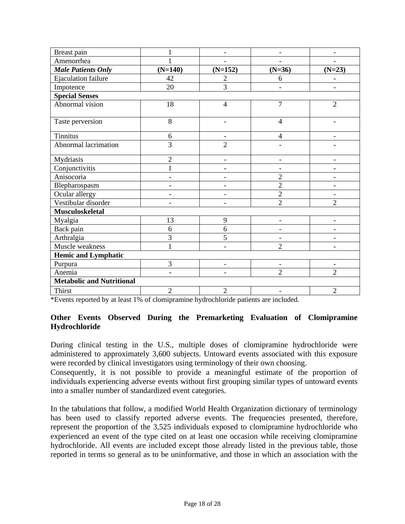| Breast pain                      | $\mathbf 1$              | $\overline{\phantom{a}}$ | $\overline{a}$           |                          |
|----------------------------------|--------------------------|--------------------------|--------------------------|--------------------------|
| Amenorrhea                       | 1                        | $\overline{\phantom{a}}$ | $\overline{\phantom{0}}$ |                          |
| <b>Male Patients Only</b>        | $(N=140)$                | $(N=152)$                | $(N=36)$                 | $(N=23)$                 |
| <b>Ejaculation failure</b>       | 42                       | $\overline{2}$           | 6                        |                          |
| Impotence                        | 20                       | $\overline{3}$           | $\overline{\phantom{0}}$ | $\overline{\phantom{a}}$ |
| <b>Special Senses</b>            |                          |                          |                          |                          |
| Abnormal vision                  | 18                       | $\overline{4}$           | 7                        | $\overline{2}$           |
| Taste perversion                 | 8                        | ۳                        | $\overline{4}$           | $\blacksquare$           |
| <b>Tinnitus</b>                  | 6                        |                          | $\overline{4}$           |                          |
| Abnormal lacrimation             | 3                        | $\overline{2}$           |                          |                          |
| Mydriasis                        | $\overline{2}$           | $\overline{\phantom{a}}$ | $\overline{\phantom{0}}$ |                          |
| Conjunctivitis                   | $\mathbf 1$              |                          |                          |                          |
| Anisocoria                       |                          | ۰                        | $\overline{2}$           |                          |
| Blepharospasm                    |                          | $\overline{\phantom{0}}$ | $\overline{2}$           | $\overline{\phantom{a}}$ |
| Ocular allergy                   |                          | $\overline{\phantom{0}}$ | $\overline{2}$           | $\overline{\phantom{a}}$ |
| Vestibular disorder              |                          |                          | $\overline{2}$           | $\overline{2}$           |
| Musculoskeletal                  |                          |                          |                          |                          |
| Myalgia                          | 13                       | 9                        | $\overline{\phantom{a}}$ | $\overline{\phantom{a}}$ |
| Back pain                        | 6                        | 6                        | $\overline{\phantom{0}}$ | $\overline{\phantom{0}}$ |
| Arthralgia                       | 3                        | 5                        | $\overline{\phantom{a}}$ |                          |
| Muscle weakness                  | 1                        | $\overline{\phantom{0}}$ | $\overline{2}$           |                          |
| <b>Hemic and Lymphatic</b>       |                          |                          |                          |                          |
| Purpura                          | 3                        | $\overline{\phantom{a}}$ | $\overline{\phantom{a}}$ | $\overline{\phantom{a}}$ |
| Anemia                           | $\overline{\phantom{a}}$ | ۰                        | $\overline{2}$           | $\overline{2}$           |
| <b>Metabolic and Nutritional</b> |                          |                          |                          |                          |
| <b>Thirst</b>                    | $\overline{2}$           | $\overline{2}$           | $\overline{\phantom{a}}$ | $\overline{2}$           |

\*Events reported by at least 1% of clomipramine hydrochloride patients are included.

# **Other Events Observed During the Premarketing Evaluation of Clomipramine Hydrochloride**

During clinical testing in the U.S., multiple doses of clomipramine hydrochloride were administered to approximately 3,600 subjects. Untoward events associated with this exposure were recorded by clinical investigators using terminology of their own choosing.

Consequently, it is not possible to provide a meaningful estimate of the proportion of individuals experiencing adverse events without first grouping similar types of untoward events into a smaller number of standardized event categories.

In the tabulations that follow, a modified World Health Organization dictionary of terminology has been used to classify reported adverse events. The frequencies presented, therefore, represent the proportion of the 3,525 individuals exposed to clomipramine hydrochloride who experienced an event of the type cited on at least one occasion while receiving clomipramine hydrochloride. All events are included except those already listed in the previous table, those reported in terms so general as to be uninformative, and those in which an association with the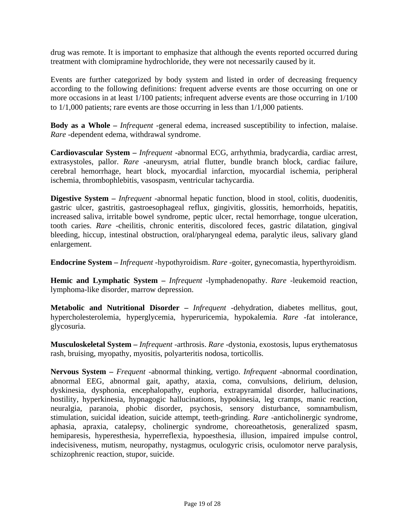drug was remote. It is important to emphasize that although the events reported occurred during treatment with clomipramine hydrochloride, they were not necessarily caused by it.

Events are further categorized by body system and listed in order of decreasing frequency according to the following definitions: frequent adverse events are those occurring on one or more occasions in at least 1/100 patients; infrequent adverse events are those occurring in 1/100 to 1/1,000 patients; rare events are those occurring in less than 1/1,000 patients.

**Body as a Whole –** *Infrequent -*general edema, increased susceptibility to infection, malaise. *Rare -*dependent edema, withdrawal syndrome.

**Cardiovascular System –** *Infrequent -*abnormal ECG, arrhythmia, bradycardia, cardiac arrest, extrasystoles, pallor. *Rare -*aneurysm, atrial flutter, bundle branch block, cardiac failure, cerebral hemorrhage, heart block, myocardial infarction, myocardial ischemia, peripheral ischemia, thrombophlebitis, vasospasm, ventricular tachycardia.

**Digestive System –** *Infrequent -*abnormal hepatic function, blood in stool, colitis, duodenitis, gastric ulcer, gastritis, gastroesophageal reflux, gingivitis, glossitis, hemorrhoids, hepatitis, increased saliva, irritable bowel syndrome, peptic ulcer, rectal hemorrhage, tongue ulceration, tooth caries. *Rare -*cheilitis, chronic enteritis, discolored feces, gastric dilatation, gingival bleeding, hiccup, intestinal obstruction, oral/pharyngeal edema, paralytic ileus, salivary gland enlargement.

**Endocrine System –** *Infrequent* -hypothyroidism. *Rare -*goiter, gynecomastia, hyperthyroidism.

**Hemic and Lymphatic System –** *Infrequent -*lymphadenopathy. *Rare -*leukemoid reaction, lymphoma-like disorder, marrow depression.

**Metabolic and Nutritional Disorder –** *Infrequent -*dehydration, diabetes mellitus, gout, hypercholesterolemia, hyperglycemia, hyperuricemia, hypokalemia. *Rare -*fat intolerance, glycosuria.

**Musculoskeletal System –** *Infrequent -*arthrosis. *Rare -*dystonia, exostosis, lupus erythematosus rash, bruising, myopathy, myositis, polyarteritis nodosa, torticollis.

**Nervous System –** *Frequent -*abnormal thinking, vertigo. *Infrequent -*abnormal coordination, abnormal EEG, abnormal gait, apathy, ataxia, coma, convulsions, delirium, delusion, dyskinesia, dysphonia, encephalopathy, euphoria, extrapyramidal disorder, hallucinations, hostility, hyperkinesia, hypnagogic hallucinations, hypokinesia, leg cramps, manic reaction, neuralgia, paranoia, phobic disorder, psychosis, sensory disturbance, somnambulism, stimulation, suicidal ideation, suicide attempt, teeth-grinding. *Rare -*anticholinergic syndrome, aphasia, apraxia, catalepsy, cholinergic syndrome, choreoathetosis, generalized spasm, hemiparesis, hyperesthesia, hyperreflexia, hypoesthesia, illusion, impaired impulse control, indecisiveness, mutism, neuropathy, nystagmus, oculogyric crisis, oculomotor nerve paralysis, schizophrenic reaction, stupor, suicide.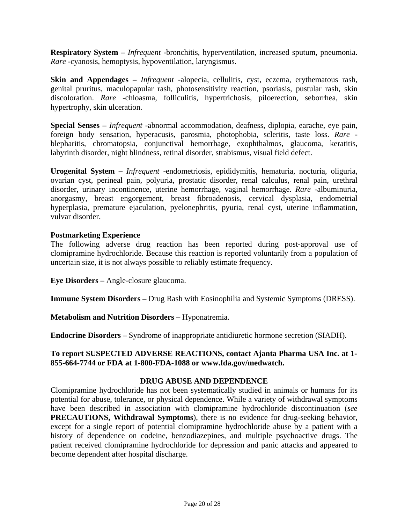<span id="page-19-0"></span>**Respiratory System –** *Infrequent -*bronchitis, hyperventilation, increased sputum, pneumonia. *Rare -*cyanosis, hemoptysis, hypoventilation, laryngismus.

**Skin and Appendages –** *Infrequent -*alopecia, cellulitis, cyst, eczema, erythematous rash, genital pruritus, maculopapular rash, photosensitivity reaction, psoriasis, pustular rash, skin discoloration. *Rare -*chloasma, folliculitis, hypertrichosis, piloerection, seborrhea, skin hypertrophy, skin ulceration.

**Special Senses –** *Infrequent -*abnormal accommodation, deafness, diplopia, earache, eye pain, foreign body sensation, hyperacusis, parosmia, photophobia, scleritis, taste loss. *Rare*  blepharitis, chromatopsia, conjunctival hemorrhage, exophthalmos, glaucoma, keratitis, labyrinth disorder, night blindness, retinal disorder, strabismus, visual field defect.

**Urogenital System –** *Infrequent -*endometriosis, epididymitis, hematuria, nocturia, oliguria, ovarian cyst, perineal pain, polyuria, prostatic disorder, renal calculus, renal pain, urethral disorder, urinary incontinence, uterine hemorrhage, vaginal hemorrhage. *Rare -*albuminuria, anorgasmy, breast engorgement, breast fibroadenosis, cervical dysplasia, endometrial hyperplasia, premature ejaculation, pyelonephritis, pyuria, renal cyst, uterine inflammation, vulvar disorder.

## **Postmarketing Experience**

The following adverse drug reaction has been reported during post-approval use of clomipramine hydrochloride. Because this reaction is reported voluntarily from a population of uncertain size, it is not always possible to reliably estimate frequency.

**Eye Disorders –** Angle-closure glaucoma.

**Immune System Disorders –** Drug Rash with Eosinophilia and Systemic Symptoms (DRESS).

**Metabolism and Nutrition Disorders –** Hyponatremia.

**Endocrine Disorders –** Syndrome of inappropriate antidiuretic hormone secretion (SIADH).

### **To report SUSPECTED ADVERSE REACTIONS, contact Ajanta Pharma USA Inc. at 1- 855-664-7744 or FDA at 1-800-FDA-1088 or [www.fda.gov/medwatch.](http://www.fda.gov/medwatch)**

### **DRUG ABUSE AND DEPENDENCE**

Clomipramine hydrochloride has not been systematically studied in animals or humans for its potential for abuse, tolerance, or physical dependence. While a variety of withdrawal symptoms have been described in association with clomipramine hydrochloride discontinuation (*see*  **[PRECAUTIONS, Withdrawal Symptoms](#page-9-1)**), there is no evidence for drug-seeking behavior, except for a single report of potential clomipramine hydrochloride abuse by a patient with a history of dependence on codeine, benzodiazepines, and multiple psychoactive drugs. The patient received clomipramine hydrochloride for depression and panic attacks and appeared to become dependent after hospital discharge.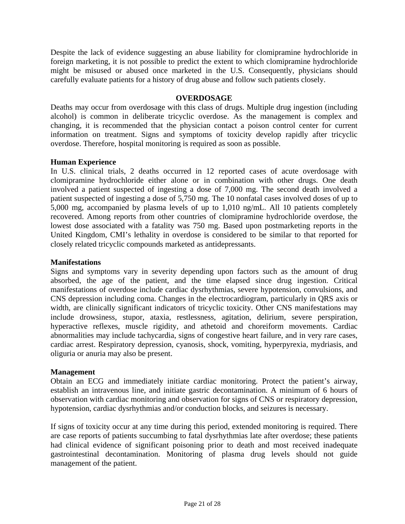Despite the lack of evidence suggesting an abuse liability for clomipramine hydrochloride in foreign marketing, it is not possible to predict the extent to which clomipramine hydrochloride might be misused or abused once marketed in the U.S. Consequently, physicians should carefully evaluate patients for a history of drug abuse and follow such patients closely.

## **OVERDOSAGE**

Deaths may occur from overdosage with this class of drugs. Multiple drug ingestion (including alcohol) is common in deliberate tricyclic overdose. As the management is complex and changing, it is recommended that the physician contact a poison control center for current information on treatment. Signs and symptoms of toxicity develop rapidly after tricyclic overdose. Therefore, hospital monitoring is required as soon as possible.

### **Human Experience**

In U.S. clinical trials, 2 deaths occurred in 12 reported cases of acute overdosage with clomipramine hydrochloride either alone or in combination with other drugs. One death involved a patient suspected of ingesting a dose of 7,000 mg. The second death involved a patient suspected of ingesting a dose of 5,750 mg. The 10 nonfatal cases involved doses of up to 5,000 mg, accompanied by plasma levels of up to 1,010 ng/mL. All 10 patients completely recovered. Among reports from other countries of clomipramine hydrochloride overdose, the lowest dose associated with a fatality was 750 mg. Based upon postmarketing reports in the United Kingdom, CMI's lethality in overdose is considered to be similar to that reported for closely related tricyclic compounds marketed as antidepressants.

### **Manifestations**

Signs and symptoms vary in severity depending upon factors such as the amount of drug absorbed, the age of the patient, and the time elapsed since drug ingestion. Critical manifestations of overdose include cardiac dysrhythmias, severe hypotension, convulsions, and CNS depression including coma. Changes in the electrocardiogram, particularly in QRS axis or width, are clinically significant indicators of tricyclic toxicity. Other CNS manifestations may include drowsiness, stupor, ataxia, restlessness, agitation, delirium, severe perspiration, hyperactive reflexes, muscle rigidity, and athetoid and choreiform movements. Cardiac abnormalities may include tachycardia, signs of congestive heart failure, and in very rare cases, cardiac arrest. Respiratory depression, cyanosis, shock, vomiting, hyperpyrexia, mydriasis, and oliguria or anuria may also be present.

### **Management**

Obtain an ECG and immediately initiate cardiac monitoring. Protect the patient's airway, establish an intravenous line, and initiate gastric decontamination. A minimum of 6 hours of observation with cardiac monitoring and observation for signs of CNS or respiratory depression, hypotension, cardiac dysrhythmias and/or conduction blocks, and seizures is necessary.

If signs of toxicity occur at any time during this period, extended monitoring is required. There are case reports of patients succumbing to fatal dysrhythmias late after overdose; these patients had clinical evidence of significant poisoning prior to death and most received inadequate gastrointestinal decontamination. Monitoring of plasma drug levels should not guide management of the patient.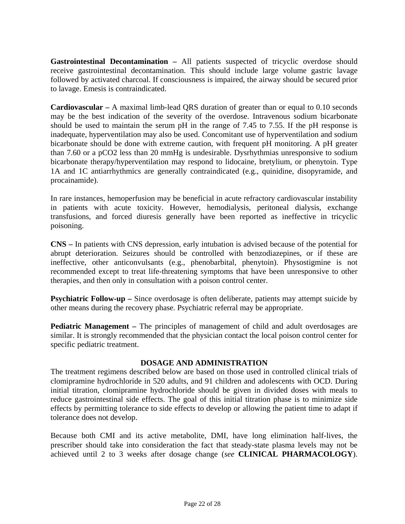<span id="page-21-1"></span><span id="page-21-0"></span>**Gastrointestinal Decontamination –** All patients suspected of tricyclic overdose should receive gastrointestinal decontamination. This should include large volume gastric lavage followed by activated charcoal. If consciousness is impaired, the airway should be secured prior to lavage. Emesis is contraindicated.

**Cardiovascular –** A maximal limb-lead QRS duration of greater than or equal to 0.10 seconds may be the best indication of the severity of the overdose. Intravenous sodium bicarbonate should be used to maintain the serum pH in the range of 7.45 to 7.55. If the pH response is inadequate, hyperventilation may also be used. Concomitant use of hyperventilation and sodium bicarbonate should be done with extreme caution, with frequent pH monitoring. A pH greater than 7.60 or a pCO2 less than 20 mmHg is undesirable. Dysrhythmias unresponsive to sodium bicarbonate therapy/hyperventilation may respond to lidocaine, bretylium, or phenytoin. Type 1A and 1C antiarrhythmics are generally contraindicated (e.g., quinidine, disopyramide, and procainamide).

<span id="page-21-2"></span>In rare instances, hemoperfusion may be beneficial in acute refractory cardiovascular instability in patients with acute toxicity. However, hemodialysis, peritoneal dialysis, exchange transfusions, and forced diuresis generally have been reported as ineffective in tricyclic poisoning.

**CNS –** In patients with CNS depression, early intubation is advised because of the potential for abrupt deterioration. Seizures should be controlled with benzodiazepines, or if these are ineffective, other anticonvulsants (e.g., phenobarbital, phenytoin). Physostigmine is not recommended except to treat life-threatening symptoms that have been unresponsive to other therapies, and then only in consultation with a poison control center.

**Psychiatric Follow-up –** Since overdosage is often deliberate, patients may attempt suicide by other means during the recovery phase. Psychiatric referral may be appropriate.

**Pediatric Management –** The principles of management of child and adult overdosages are similar. It is strongly recommended that the physician contact the local poison control center for specific pediatric treatment.

## **DOSAGE AND ADMINISTRATION**

The treatment regimens described below are based on those used in controlled clinical trials of clomipramine hydrochloride in 520 adults, and 91 children and adolescents with OCD. During initial titration, clomipramine hydrochloride should be given in divided doses with meals to reduce gastrointestinal side effects. The goal of this initial titration phase is to minimize side effects by permitting tolerance to side effects to develop or allowing the patient time to adapt if tolerance does not develop.

Because both CMI and its active metabolite, DMI, have long elimination half-lives, the prescriber should take into consideration the fact that steady-state plasma levels may not be achieved until 2 to 3 weeks after dosage change (*see* **[CLINICAL PHARMACOLOGY](#page-1-0)**).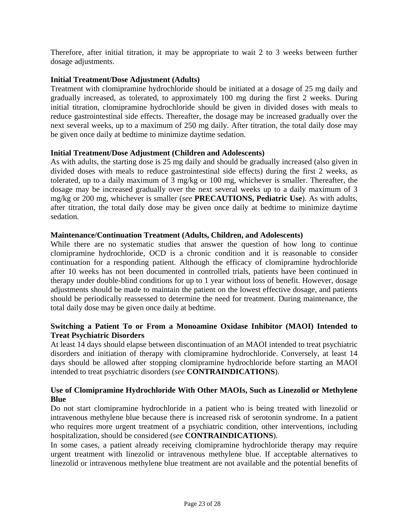Therefore, after initial titration, it may be appropriate to wait 2 to 3 weeks between further dosage adjustments.

# **Initial Treatment/Dose Adjustment (Adults)**

Treatment with clomipramine hydrochloride should be initiated at a dosage of 25 mg daily and gradually increased, as tolerated, to approximately 100 mg during the first 2 weeks. During initial titration, clomipramine hydrochloride should be given in divided doses with meals to reduce gastrointestinal side effects. Thereafter, the dosage may be increased gradually over the next several weeks, up to a maximum of 250 mg daily. After titration, the total daily dose may be given once daily at bedtime to minimize daytime sedation.

# **Initial Treatment/Dose Adjustment (Children and Adolescents)**

As with adults, the starting dose is 25 mg daily and should be gradually increased (also given in divided doses with meals to reduce gastrointestinal side effects) during the first 2 weeks, as tolerated, up to a daily maximum of 3 mg/kg or 100 mg, whichever is smaller. Thereafter, the dosage may be increased gradually over the next several weeks up to a daily maximum of 3 mg/kg or 200 mg, whichever is smaller (*see* **[PRECAUTIONS, Pediatric Use](#page-12-0)**). As with adults, after titration, the total daily dose may be given once daily at bedtime to minimize daytime sedation.

# **Maintenance/Continuation Treatment (Adults, Children, and Adolescents)**

While there are no systematic studies that answer the question of how long to continue clomipramine hydrochloride, OCD is a chronic condition and it is reasonable to consider continuation for a responding patient. Although the efficacy of clomipramine hydrochloride after 10 weeks has not been documented in controlled trials, patients have been continued in therapy under double-blind conditions for up to 1 year without loss of benefit. However, dosage adjustments should be made to maintain the patient on the lowest effective dosage, and patients should be periodically reassessed to determine the need for treatment. During maintenance, the total daily dose may be given once daily at bedtime.

# **Switching a Patient To or From a Monoamine Oxidase Inhibitor (MAOI) Intended to Treat Psychiatric Disorders**

At least 14 days should elapse between discontinuation of an MAOI intended to treat psychiatric disorders and initiation of therapy with clomipramine hydrochloride. Conversely, at least 14 days should be allowed after stopping clomipramine hydrochloride before starting an MAOI intended to treat psychiatric disorders (*see* **[CONTRAINDICATIONS](#page-3-3)**).

# **Use of Clomipramine Hydrochloride With Other MAOIs, Such as Linezolid or Methylene Blue**

Do not start clomipramine hydrochloride in a patient who is being treated with linezolid or intravenous methylene blue because there is increased risk of serotonin syndrome. In a patient who requires more urgent treatment of a psychiatric condition, other interventions, including hospitalization, should be considered (*see* **[CONTRAINDICATIONS](#page-3-3)**).

In some cases, a patient already receiving clomipramine hydrochloride therapy may require urgent treatment with linezolid or intravenous methylene blue. If acceptable alternatives to linezolid or intravenous methylene blue treatment are not available and the potential benefits of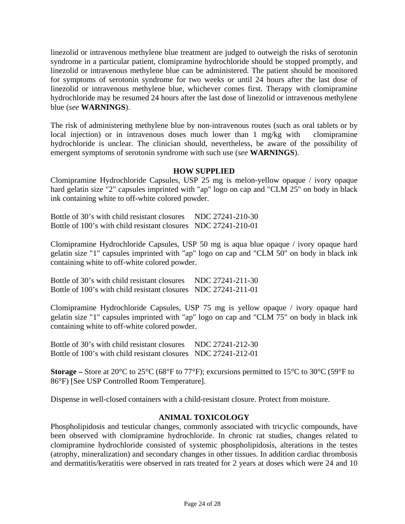linezolid or intravenous methylene blue treatment are judged to outweigh the risks of serotonin syndrome in a particular patient, clomipramine hydrochloride should be stopped promptly, and linezolid or intravenous methylene blue can be administered. The patient should be monitored for symptoms of serotonin syndrome for two weeks or until 24 hours after the last dose of linezolid or intravenous methylene blue, whichever comes first. Therapy with clomipramine hydrochloride may be resumed 24 hours after the last dose of linezolid or intravenous methylene blue (*see* **[WARNINGS](#page-3-3)**).

The risk of administering methylene blue by non-intravenous routes (such as oral tablets or by local injection) or in intravenous doses much lower than 1 mg/kg with clomipramine hydrochloride is unclear. The clinician should, nevertheless, be aware of the possibility of emergent symptoms of serotonin syndrome with such use (*see* **[WARNINGS](#page-3-3)**).

## **HOW SUPPLIED**

Clomipramine Hydrochloride Capsules, USP 25 mg is melon-yellow opaque / ivory opaque hard gelatin size "2" capsules imprinted with "ap" logo on cap and "CLM 25" on body in black ink containing white to off-white colored powder.

Bottle of 30's with child resistant closures NDC 27241-210-30 Bottle of 100's with child resistant closures NDC 27241-210-01

Clomipramine Hydrochloride Capsules, USP 50 mg is aqua blue opaque / ivory opaque hard gelatin size "1" capsules imprinted with "ap" logo on cap and "CLM 50" on body in black ink containing white to off-white colored powder.

Bottle of 30's with child resistant closures NDC 27241-211-30 Bottle of 100's with child resistant closures NDC 27241-211-01

Clomipramine Hydrochloride Capsules, USP 75 mg is yellow opaque / ivory opaque hard gelatin size "1" capsules imprinted with "ap" logo on cap and "CLM 75" on body in black ink containing white to off-white colored powder.

Bottle of 30's with child resistant closures NDC 27241-212-30 Bottle of 100's with child resistant closures NDC 27241-212-01

**Storage –** Store at 20°C to 25°C (68°F to 77°F); excursions permitted to 15°C to 30°C (59°F to 86°F) [See USP Controlled Room Temperature].

Dispense in well-closed containers with a child-resistant closure. Protect from moisture.

## **ANIMAL TOXICOLOGY**

Phospholipidosis and testicular changes, commonly associated with tricyclic compounds, have been observed with clomipramine hydrochloride. In chronic rat studies, changes related to clomipramine hydrochloride consisted of systemic phospholipidosis, alterations in the testes (atrophy, mineralization) and secondary changes in other tissues. In addition cardiac thrombosis and dermatitis/keratitis were observed in rats treated for 2 years at doses which were 24 and 10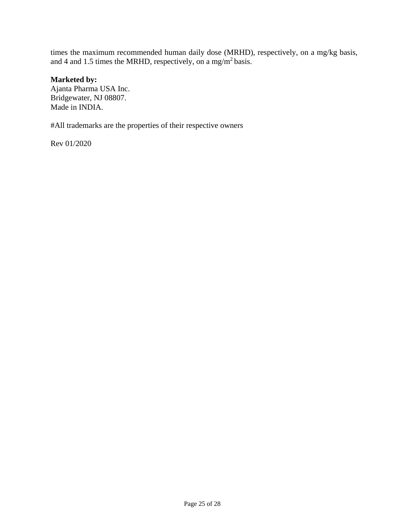times the maximum recommended human daily dose (MRHD), respectively, on a mg/kg basis, and 4 and 1.5 times the MRHD, respectively, on a mg/m<sup>2</sup> basis.

# **Marketed by:**

Ajanta Pharma USA Inc. Bridgewater, NJ 08807. Made in INDIA.

#All trademarks are the properties of their respective owners

Rev 01/2020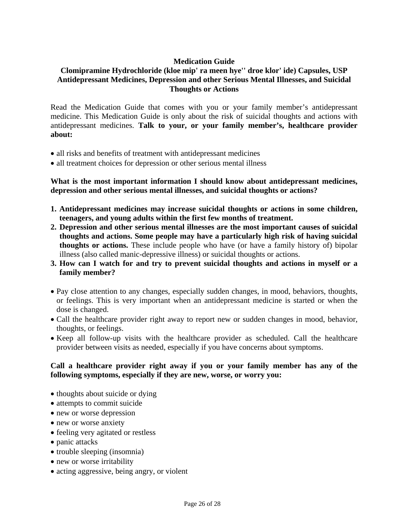# **Medication Guide**

# **Clomipramine Hydrochloride (kloe mip' ra meen hye'' droe klor' ide) Capsules, USP Antidepressant Medicines, Depression and other Serious Mental Illnesses, and Suicidal Thoughts or Actions**

Read the Medication Guide that comes with you or your family member's antidepressant medicine. This Medication Guide is only about the risk of suicidal thoughts and actions with antidepressant medicines. **Talk to your, or your family member's, healthcare provider about:**

- all risks and benefits of treatment with antidepressant medicines
- all treatment choices for depression or other serious mental illness

**What is the most important information I should know about antidepressant medicines, depression and other serious mental illnesses, and suicidal thoughts or actions?**

- **1. Antidepressant medicines may increase suicidal thoughts or actions in some children, teenagers, and young adults within the first few months of treatment.**
- **2. Depression and other serious mental illnesses are the most important causes of suicidal thoughts and actions. Some people may have a particularly high risk of having suicidal thoughts or actions.** These include people who have (or have a family history of) bipolar illness (also called manic-depressive illness) or suicidal thoughts or actions.
- **3. How can I watch for and try to prevent suicidal thoughts and actions in myself or a family member?**
- Pay close attention to any changes, especially sudden changes, in mood, behaviors, thoughts, or feelings. This is very important when an antidepressant medicine is started or when the dose is changed.
- Call the healthcare provider right away to report new or sudden changes in mood, behavior, thoughts, or feelings.
- Keep all follow-up visits with the healthcare provider as scheduled. Call the healthcare provider between visits as needed, especially if you have concerns about symptoms.

# **Call a healthcare provider right away if you or your family member has any of the following symptoms, especially if they are new, worse, or worry you:**

- thoughts about suicide or dying
- attempts to commit suicide
- new or worse depression
- new or worse anxiety
- feeling very agitated or restless
- panic attacks
- trouble sleeping (insomnia)
- new or worse irritability
- acting aggressive, being angry, or violent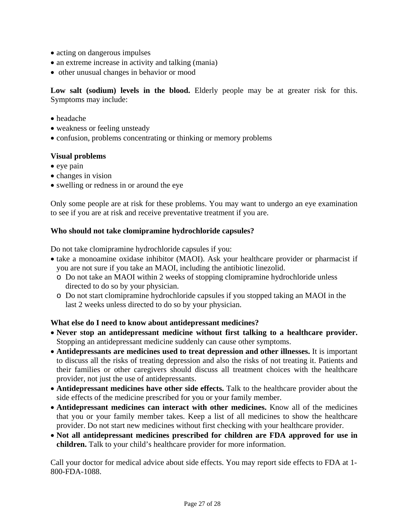- acting on dangerous impulses
- an extreme increase in activity and talking (mania)
- other unusual changes in behavior or mood

Low salt (sodium) levels in the blood. Elderly people may be at greater risk for this. Symptoms may include:

- headache
- weakness or feeling unsteady
- confusion, problems concentrating or thinking or memory problems

# **Visual problems**

- eye pain
- changes in vision
- swelling or redness in or around the eye

Only some people are at risk for these problems. You may want to undergo an eye examination to see if you are at risk and receive preventative treatment if you are.

# **Who should not take clomipramine hydrochloride capsules?**

Do not take clomipramine hydrochloride capsules if you:

- take a monoamine oxidase inhibitor (MAOI). Ask your healthcare provider or pharmacist if you are not sure if you take an MAOI, including the antibiotic linezolid.
	- o Do not take an MAOI within 2 weeks of stopping clomipramine hydrochloride unless directed to do so by your physician.
	- o Do not start clomipramine hydrochloride capsules if you stopped taking an MAOI in the last 2 weeks unless directed to do so by your physician.

## **What else do I need to know about antidepressant medicines?**

- **Never stop an antidepressant medicine without first talking to a healthcare provider.** Stopping an antidepressant medicine suddenly can cause other symptoms.
- **Antidepressants are medicines used to treat depression and other illnesses.** It is important to discuss all the risks of treating depression and also the risks of not treating it. Patients and their families or other caregivers should discuss all treatment choices with the healthcare provider, not just the use of antidepressants.
- **Antidepressant medicines have other side effects.** Talk to the healthcare provider about the side effects of the medicine prescribed for you or your family member.
- **Antidepressant medicines can interact with other medicines.** Know all of the medicines that you or your family member takes. Keep a list of all medicines to show the healthcare provider. Do not start new medicines without first checking with your healthcare provider.
- **Not all antidepressant medicines prescribed for children are FDA approved for use in children.** Talk to your child's healthcare provider for more information.

Call your doctor for medical advice about side effects. You may report side effects to FDA at 1- 800-FDA-1088.